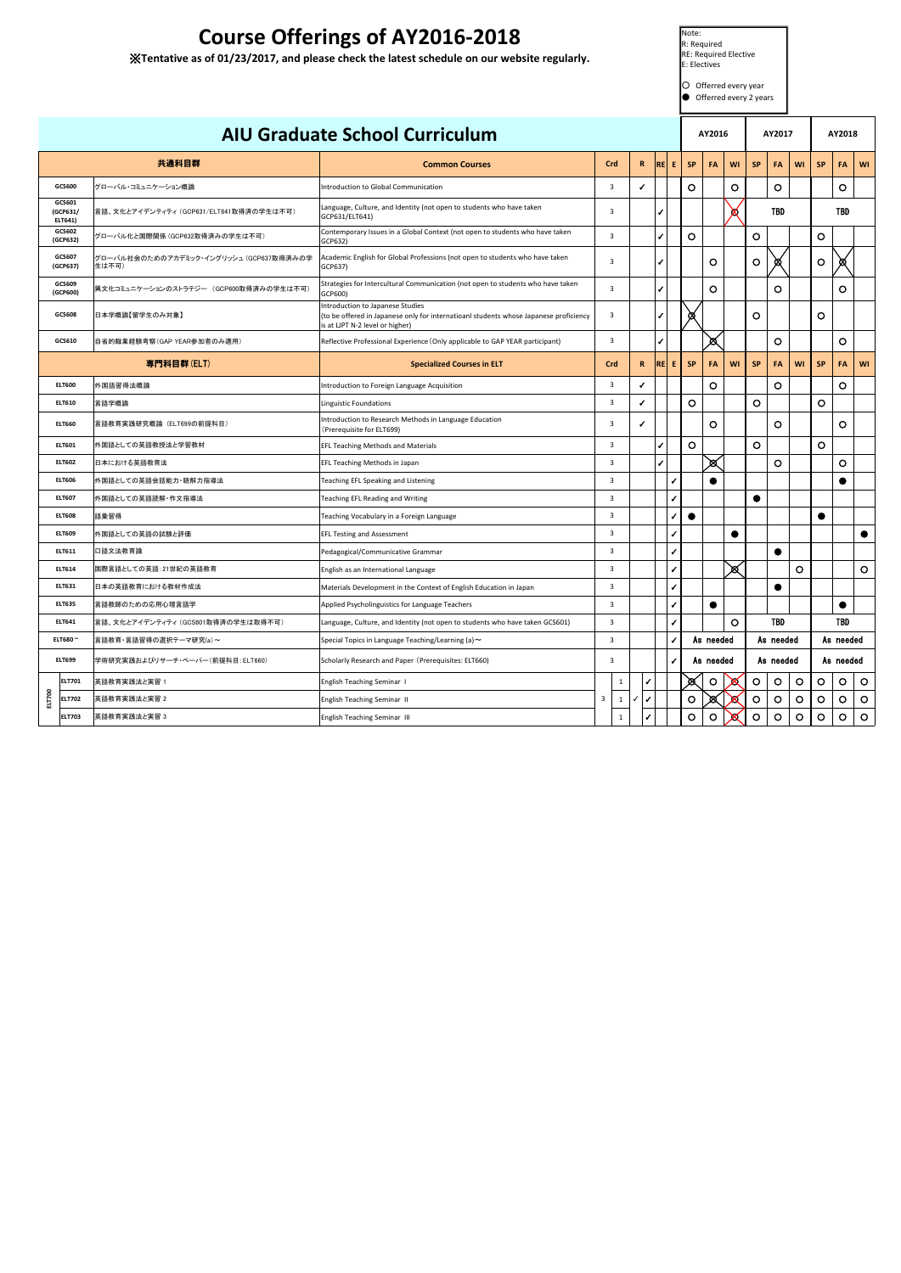| <b>AIU Graduate School Curriculum</b> |                               |                                                  |                                                                                                                                                              |                |              |                   |      | AY2016       |           |           |         | AY2017    |                | AY2018  |           |            |           |
|---------------------------------------|-------------------------------|--------------------------------------------------|--------------------------------------------------------------------------------------------------------------------------------------------------------------|----------------|--------------|-------------------|------|--------------|-----------|-----------|---------|-----------|----------------|---------|-----------|------------|-----------|
|                                       |                               | 共通科目群                                            | <b>Common Courses</b>                                                                                                                                        | Crd            |              | $\mathbf{R}$      | RE E |              | <b>SP</b> | FA        | WI      | <b>SP</b> | <b>FA</b>      | WI      | <b>SP</b> | <b>FA</b>  | WI        |
|                                       | GCS600                        | グローバル・コミュニケーション概論                                | Introduction to Global Communication                                                                                                                         | 3              |              | ✓                 |      |              | $\circ$   |           | O       |           | $\circ$        |         |           | $\circ$    |           |
|                                       | GCS601<br>(GCP631/<br>ELT641) | 言語、文化とアイデンティティ (GCP631/ELT641取得済の学生は不可)          | Language, Culture, and Identity (not open to students who have taken<br>GCP631/ELT641)                                                                       | $\overline{3}$ |              |                   | ✔    |              |           |           | x.      |           | <b>TBD</b>     |         |           | <b>TBD</b> |           |
|                                       | GCS602<br>(GCP632)            | グローバル化と国際関係 (GCP632取得済みの学生は不可)                   | Contemporary Issues in a Global Context (not open to students who have taken<br>GCP632)                                                                      | $\overline{3}$ |              |                   | ✔    |              | $\circ$   |           |         | $\circ$   |                |         | $\circ$   |            |           |
|                                       | GCS607<br>(GCP637)            | グローバル社会のためのアカデミック・イングリッシュ (GCP637取得済みの学<br>生は不可) | Academic English for Global Professions (not open to students who have taken<br>GCP637)                                                                      | $\overline{3}$ |              |                   | ✔    |              |           | O         |         | $\circ$   | ∞              |         | $\circ$   | ∞          |           |
|                                       | GCS609<br>(GCP600)            | 異文化コミュニケーションのストラテジー (GCP600取得済みの学生は不可)           | Strategies for Intercultural Communication (not open to students who have taken<br>GCP600)                                                                   | 3              |              |                   | J    |              |           | O         |         |           | O              |         |           | $\circ$    |           |
|                                       | GCS608                        | 日本学概論【留学生のみ対象】                                   | Introduction to Japanese Studies<br>(to be offered in Japanese only for internatioanl students whose Japanese proficiency<br>is at LJPT N-2 level or higher) | $\overline{3}$ |              |                   | ✔    |              | Q         |           |         | $\circ$   |                |         | $\circ$   |            |           |
|                                       | GCS610                        | 自省的職業経験考察(GAP YEAR参加者のみ適用)                       | Reflective Professional Experience (Only applicable to GAP YEAR participant)                                                                                 | $\overline{3}$ |              |                   | ✔    |              |           | Ø         |         |           | $\circ$        |         |           | $\circ$    |           |
|                                       |                               | 専門科目群(ELT)                                       | <b>Specialized Courses in ELT</b>                                                                                                                            | Crd            |              | R.                | REE  |              | <b>SP</b> | FA        | WI      | <b>SP</b> | FA             | WI      | <b>SP</b> | <b>FA</b>  | WI        |
|                                       | <b>ELT600</b>                 | 外国語習得法概論                                         | Introduction to Foreign Language Acquisition                                                                                                                 | 3              |              | ✔                 |      |              |           | $\circ$   |         |           | $\circ$        |         |           | $\circ$    |           |
|                                       | <b>ELT610</b>                 | 言語学概論                                            | Linguistic Foundations                                                                                                                                       | 3              |              | ✔                 |      |              | $\circ$   |           |         | $\circ$   |                |         | $\circ$   |            |           |
|                                       | <b>ELT660</b>                 | 言語教育実践研究概論 (ELT699の前提科目)                         | Introduction to Research Methods in Language Education<br>(Prerequisite for ELT699)                                                                          | 3              |              | ✔                 |      |              |           | O         |         |           | O              |         |           | $\circ$    |           |
|                                       | <b>ELT601</b>                 | 外国語としての英語教授法と学習教材                                | EFL Teaching Methods and Materials                                                                                                                           | $\overline{3}$ |              |                   | J    |              | $\circ$   |           |         | $\circ$   |                |         | $\circ$   |            |           |
|                                       | <b>ELT602</b>                 | 日本における英語教育法                                      | EFL Teaching Methods in Japan                                                                                                                                | $\overline{3}$ |              |                   | J    |              |           | ⊠         |         |           | $\circ$        |         |           | $\circ$    |           |
|                                       | <b>ELT606</b>                 | 外国語としての英語会話能力・聴解力指導法                             | Teaching EFL Speaking and Listening                                                                                                                          | $\overline{3}$ |              |                   |      | $\sqrt{2}$   |           |           |         |           |                |         |           |            |           |
|                                       | <b>ELT607</b>                 | 外国語としての英語読解・作文指導法                                | Teaching EFL Reading and Writing                                                                                                                             | $\overline{3}$ |              |                   |      | $\sqrt{2}$   |           |           |         | 0         |                |         |           |            |           |
|                                       | <b>ELT608</b>                 | 語彙習得                                             | Teaching Vocabulary in a Foreign Language                                                                                                                    | $\overline{3}$ |              |                   |      | ✔            | $\bullet$ |           |         |           |                |         | $\bullet$ |            |           |
|                                       | <b>ELT609</b>                 | 外国語としての英語の試験と評価                                  | <b>EFL Testing and Assessment</b>                                                                                                                            | $\overline{3}$ |              |                   |      | $\checkmark$ |           |           | ●       |           |                |         |           |            | $\bullet$ |
|                                       | <b>ELT611</b>                 | 口語文法教育論                                          | Pedagogical/Communicative Grammar                                                                                                                            | 3              |              |                   |      | ✓            |           |           |         |           | $\blacksquare$ |         |           |            |           |
|                                       |                               | 国際言語としての英語:21世紀の英語教育                             | English as an International Language                                                                                                                         | 3              |              |                   |      | $\checkmark$ |           |           | প্প     |           |                | O       |           |            | $\circ$   |
| <b>ELT614</b><br><b>ELT631</b>        |                               | 日本の英語教育における教材作成法                                 | Materials Development in the Context of English Education in Japan                                                                                           | 3              |              |                   |      | $\sqrt{2}$   |           |           |         |           | O              |         |           |            |           |
| <b>ELT635</b>                         |                               | 言語教師のための応用心理言語学                                  | Applied Psycholinguistics for Language Teachers                                                                                                              | 3              |              |                   |      | ✔            |           | $\bullet$ |         |           |                |         |           | $\bullet$  |           |
| <b>ELT641</b>                         |                               | 言語、文化とアイデンティティ (GCS601取得済の学生は取得不可)               | Language, Culture, and Identity (not open to students who have taken GCS601)                                                                                 | 3              |              |                   |      | ✔            |           |           | $\circ$ |           | <b>TBD</b>     |         |           | <b>TBD</b> |           |
| ELT680~                               |                               | 言語教育·言語習得の選択テーマ研究(a)~                            | Special Topics in Language Teaching/Learning (a) $\sim$                                                                                                      |                | 3<br>✔       |                   |      | As needed    |           | As needed |         |           | As needed      |         |           |            |           |
|                                       | <b>ELT699</b>                 | 学術研究実践およびリサーチ・ペーパー(前提科目:ELT660)                  | Scholarly Research and Paper (Prerequisites: ELT660)                                                                                                         | 3              |              |                   |      | ✔            |           | As needed |         |           | As needed      |         |           | As needed  |           |
|                                       | <b>ELT701</b>                 | 英語教育実践法と実習 1                                     | <b>English Teaching Seminar I</b>                                                                                                                            |                | $\mathbf 1$  | ✔                 |      |              | Ø         | $\circ$   | Х       | $\circ$   | $\circ$        | $\circ$ | $\circ$   | $\circ$    | $\circ$   |
| ELT700                                | <b>ELT702</b>                 | 英語教育実践法と実習 2                                     | English Teaching Seminar II                                                                                                                                  | 3              | $\mathbf 1$  | $\checkmark$<br>✓ |      |              | $\circ$   |           | x       | $\circ$   | $\circ$        | $\circ$ | $\circ$   | $\circ$    | $\circ$   |
|                                       | <b>ELT703</b>                 | 英語教育実践法と実習 3                                     | English Teaching Seminar III                                                                                                                                 |                | $\mathbf{1}$ |                   |      |              | $\circ$   | $\circ$   | x       | $\circ$   | $\circ$        | $\circ$ | $\circ$   | $\circ$    | $\circ$   |

## **Course Offerings of AY2016-2018**

※**Tentative as of 01/23/2017, and please check the latest schedule on our website regularly.**

Note: R: Required

RE: Required Elective E: Electives

O Offerred every year  $\bigcirc$  Offerred every 2 years